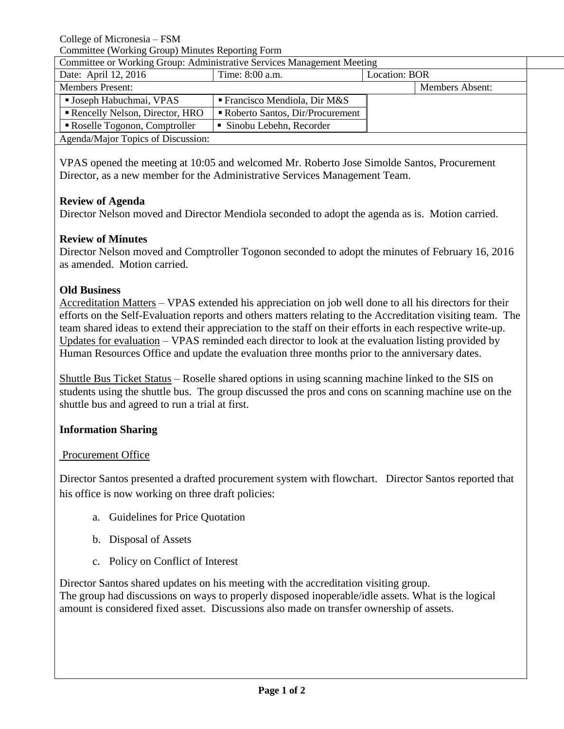College of Micronesia – FSM

| Committee (Working Group) Minutes Reporting Form |
|--------------------------------------------------|
|--------------------------------------------------|

| Committee or Working Group: Administrative Services Management Meeting |                                            |               |                 |  |
|------------------------------------------------------------------------|--------------------------------------------|---------------|-----------------|--|
| Date: April 12, 2016                                                   | Time: 8:00 a.m.                            | Location: BOR |                 |  |
| <b>Members Present:</b>                                                |                                            |               | Members Absent: |  |
| <b>Joseph Habuchmai, VPAS</b>                                          | $\blacksquare$ Francisco Mendiola, Dir M&S |               |                 |  |
| Rencelly Nelson, Director, HRO                                         | Roberto Santos, Dir/Procurement            |               |                 |  |
| Roselle Togonon, Comptroller                                           | • Sinobu Lebehn, Recorder                  |               |                 |  |
| Agenda/Major Topics of Discussion:                                     |                                            |               |                 |  |

VPAS opened the meeting at 10:05 and welcomed Mr. Roberto Jose Simolde Santos, Procurement Director, as a new member for the Administrative Services Management Team.

## **Review of Agenda**

Director Nelson moved and Director Mendiola seconded to adopt the agenda as is. Motion carried.

# **Review of Minutes**

Director Nelson moved and Comptroller Togonon seconded to adopt the minutes of February 16, 2016 as amended. Motion carried.

# **Old Business**

Accreditation Matters – VPAS extended his appreciation on job well done to all his directors for their efforts on the Self-Evaluation reports and others matters relating to the Accreditation visiting team. The team shared ideas to extend their appreciation to the staff on their efforts in each respective write-up. Updates for evaluation – VPAS reminded each director to look at the evaluation listing provided by Human Resources Office and update the evaluation three months prior to the anniversary dates.

Shuttle Bus Ticket Status – Roselle shared options in using scanning machine linked to the SIS on students using the shuttle bus. The group discussed the pros and cons on scanning machine use on the shuttle bus and agreed to run a trial at first.

# **Information Sharing**

## Procurement Office

Director Santos presented a drafted procurement system with flowchart. Director Santos reported that his office is now working on three draft policies:

- a. Guidelines for Price Quotation
- b. Disposal of Assets
- c. Policy on Conflict of Interest

Director Santos shared updates on his meeting with the accreditation visiting group. The group had discussions on ways to properly disposed inoperable/idle assets. What is the logical amount is considered fixed asset. Discussions also made on transfer ownership of assets.